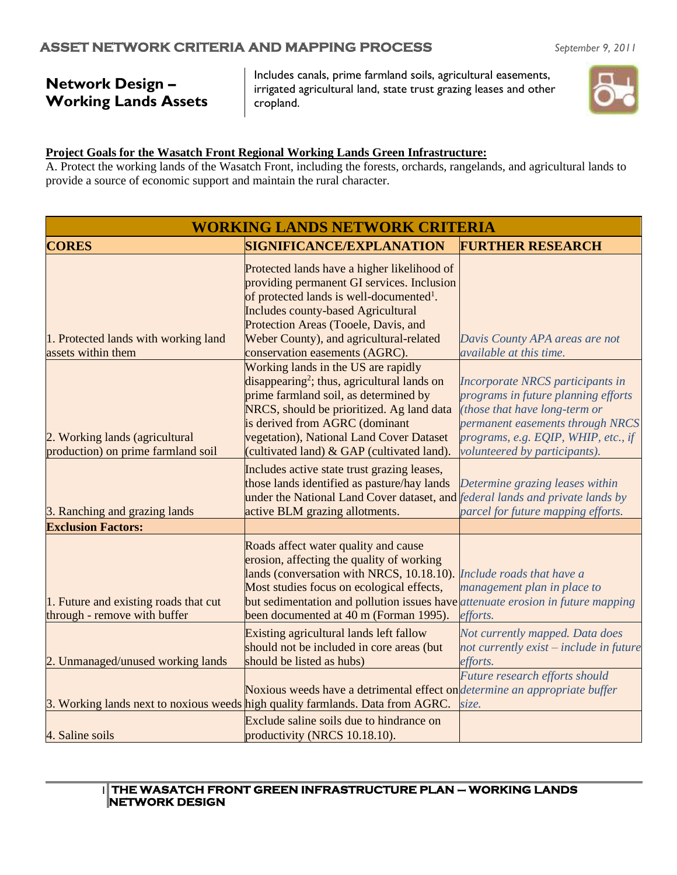# **Network Design – Working Lands Assets**

Includes canals, prime farmland soils, agricultural easements, irrigated agricultural land, state trust grazing leases and other cropland.

#### **Project Goals for the Wasatch Front Regional Working Lands Green Infrastructure:**

A. Protect the working lands of the Wasatch Front, including the forests, orchards, rangelands, and agricultural lands to provide a source of economic support and maintain the rural character.

| <b>WORKING LANDS NETWORK CRITERIA</b>                                 |                                                                                                                                                                                                                                                                                                                 |                                                                                                                                                                                                                      |  |
|-----------------------------------------------------------------------|-----------------------------------------------------------------------------------------------------------------------------------------------------------------------------------------------------------------------------------------------------------------------------------------------------------------|----------------------------------------------------------------------------------------------------------------------------------------------------------------------------------------------------------------------|--|
| <b>CORES</b>                                                          | <b>SIGNIFICANCE/EXPLANATION</b>                                                                                                                                                                                                                                                                                 | <b>FURTHER RESEARCH</b>                                                                                                                                                                                              |  |
|                                                                       | Protected lands have a higher likelihood of<br>providing permanent GI services. Inclusion<br>of protected lands is well-documented <sup>1</sup> .<br><b>Includes county-based Agricultural</b><br>Protection Areas (Tooele, Davis, and                                                                          |                                                                                                                                                                                                                      |  |
| 1. Protected lands with working land<br>assets within them            | Weber County), and agricultural-related<br>conservation easements (AGRC).                                                                                                                                                                                                                                       | Davis County APA areas are not<br><i>available at this time.</i>                                                                                                                                                     |  |
| 2. Working lands (agricultural<br>production) on prime farmland soil  | Working lands in the US are rapidly<br>$disappearing2$ ; thus, agricultural lands on<br>prime farmland soil, as determined by<br>NRCS, should be prioritized. Ag land data<br>is derived from AGRC (dominant<br>vegetation), National Land Cover Dataset<br>(cultivated land) & GAP (cultivated land).          | Incorporate NRCS participants in<br>programs in future planning efforts<br>(those that have long-term or<br>permanent easements through NRCS<br>programs, e.g. EQIP, WHIP, etc., if<br>volunteered by participants). |  |
| 3. Ranching and grazing lands                                         | Includes active state trust grazing leases,<br>those lands identified as pasture/hay lands<br>under the National Land Cover dataset, and <i>federal lands and private lands by</i><br>active BLM grazing allotments.                                                                                            | Determine grazing leases within<br>parcel for future mapping efforts.                                                                                                                                                |  |
| <b>Exclusion Factors:</b>                                             |                                                                                                                                                                                                                                                                                                                 |                                                                                                                                                                                                                      |  |
| 1. Future and existing roads that cut<br>through - remove with buffer | Roads affect water quality and cause<br>erosion, affecting the quality of working<br>lands (conversation with NRCS, 10.18.10).<br>Most studies focus on ecological effects,<br>but sedimentation and pollution issues have <i>attenuate erosion in future mapping</i><br>been documented at 40 m (Forman 1995). | Include roads that have a<br>management plan in place to<br>efforts.                                                                                                                                                 |  |
| 2. Unmanaged/unused working lands                                     | Existing agricultural lands left fallow<br>should not be included in core areas (but<br>should be listed as hubs)                                                                                                                                                                                               | Not currently mapped. Data does<br>not currently exist – include in future<br>efforts.                                                                                                                               |  |
|                                                                       | Noxious weeds have a detrimental effect on <i>determine an appropriate buffer</i><br>3. Working lands next to noxious weeds high quality farmlands. Data from AGRC.                                                                                                                                             | Future research efforts should<br>size.                                                                                                                                                                              |  |
| 4. Saline soils                                                       | Exclude saline soils due to hindrance on<br>productivity (NRCS 10.18.10).                                                                                                                                                                                                                                       |                                                                                                                                                                                                                      |  |

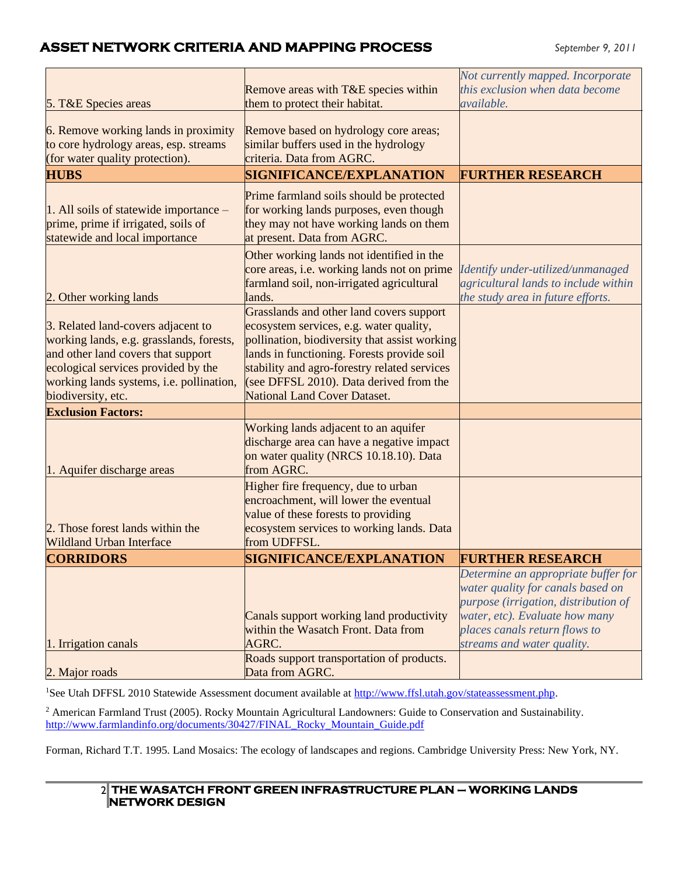#### **ASSET NETWORK CRITERIA AND MAPPING PROCESS** *September 9, 2011*

| 5. T&E Species areas                                                                                                                                                                                                          | Remove areas with T&E species within<br>them to protect their habitat.                                                                                                                                                                                                                                               | Not currently mapped. Incorporate<br>this exclusion when data become<br>available.                                                                                                                                |
|-------------------------------------------------------------------------------------------------------------------------------------------------------------------------------------------------------------------------------|----------------------------------------------------------------------------------------------------------------------------------------------------------------------------------------------------------------------------------------------------------------------------------------------------------------------|-------------------------------------------------------------------------------------------------------------------------------------------------------------------------------------------------------------------|
| 6. Remove working lands in proximity<br>to core hydrology areas, esp. streams<br>(for water quality protection).                                                                                                              | Remove based on hydrology core areas;<br>similar buffers used in the hydrology<br>criteria. Data from AGRC.                                                                                                                                                                                                          |                                                                                                                                                                                                                   |
| <b>HUBS</b>                                                                                                                                                                                                                   | <b>SIGNIFICANCE/EXPLANATION</b>                                                                                                                                                                                                                                                                                      | <b>FURTHER RESEARCH</b>                                                                                                                                                                                           |
| 1. All soils of statewide importance -<br>prime, prime if irrigated, soils of<br>statewide and local importance                                                                                                               | Prime farmland soils should be protected<br>for working lands purposes, even though<br>they may not have working lands on them<br>at present. Data from AGRC.                                                                                                                                                        |                                                                                                                                                                                                                   |
| 2. Other working lands                                                                                                                                                                                                        | Other working lands not identified in the<br>core areas, i.e. working lands not on prime<br>farmland soil, non-irrigated agricultural<br>lands.                                                                                                                                                                      | Identify under-utilized/unmanaged<br>agricultural lands to include within<br>the study area in future efforts.                                                                                                    |
| 3. Related land-covers adjacent to<br>working lands, e.g. grasslands, forests,<br>and other land covers that support<br>ecological services provided by the<br>working lands systems, i.e. pollination,<br>biodiversity, etc. | Grasslands and other land covers support<br>ecosystem services, e.g. water quality,<br>pollination, biodiversity that assist working<br>lands in functioning. Forests provide soil<br>stability and agro-forestry related services<br>(see DFFSL 2010). Data derived from the<br><b>National Land Cover Dataset.</b> |                                                                                                                                                                                                                   |
| <b>Exclusion Factors:</b>                                                                                                                                                                                                     |                                                                                                                                                                                                                                                                                                                      |                                                                                                                                                                                                                   |
| 1. Aquifer discharge areas                                                                                                                                                                                                    | Working lands adjacent to an aquifer<br>discharge area can have a negative impact<br>on water quality (NRCS 10.18.10). Data<br>from AGRC.                                                                                                                                                                            |                                                                                                                                                                                                                   |
| 2. Those forest lands within the<br><b>Wildland Urban Interface</b>                                                                                                                                                           | Higher fire frequency, due to urban<br>encroachment, will lower the eventual<br>value of these forests to providing<br>ecosystem services to working lands. Data<br>from UDFFSL.                                                                                                                                     |                                                                                                                                                                                                                   |
| <b>CORRIDORS</b>                                                                                                                                                                                                              | SIGNIFICANCE/EXPLANATION                                                                                                                                                                                                                                                                                             | <b>FURTHER RESEARCH</b>                                                                                                                                                                                           |
| 1. Irrigation canals                                                                                                                                                                                                          | Canals support working land productivity<br>within the Wasatch Front. Data from<br>AGRC.                                                                                                                                                                                                                             | Determine an appropriate buffer for<br>water quality for canals based on<br>purpose (irrigation, distribution of<br>water, etc). Evaluate how many<br>places canals return flows to<br>streams and water quality. |
| 2. Major roads                                                                                                                                                                                                                | Roads support transportation of products.<br>Data from AGRC.                                                                                                                                                                                                                                                         |                                                                                                                                                                                                                   |

<sup>1</sup>See Utah DFFSL 2010 Statewide Assessment document available at [http://www.ffsl.utah.gov/stateassessment.php.](http://www.ffsl.utah.gov/stateassessment.php)

<sup>2</sup> American Farmland Trust (2005). Rocky Mountain Agricultural Landowners: Guide to Conservation and Sustainability. [http://www.farmlandinfo.org/documents/30427/FINAL\\_Rocky\\_Mountain\\_Guide.pdf](http://www.farmlandinfo.org/documents/30427/FINAL_Rocky_Mountain_Guide.pdf)

Forman, Richard T.T. 1995. Land Mosaics: The ecology of landscapes and regions. Cambridge University Press: New York, NY.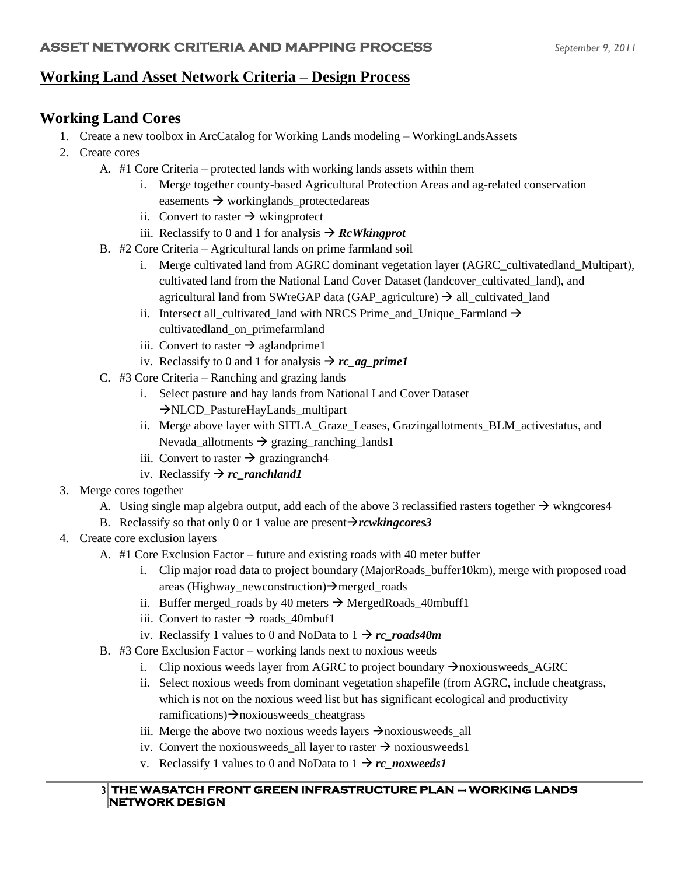#### **Working Land Asset Network Criteria – Design Process**

## **Working Land Cores**

- 1. Create a new toolbox in ArcCatalog for Working Lands modeling WorkingLandsAssets
- 2. Create cores
	- A. #1 Core Criteria protected lands with working lands assets within them
		- i. Merge together county-based Agricultural Protection Areas and ag-related conservation easements → workinglands\_protectedareas
		- ii. Convert to raster  $\rightarrow$  wkingprotect
		- iii. Reclassify to 0 and 1 for analysis  $\rightarrow$  *RcWkingprot*
	- B. #2 Core Criteria Agricultural lands on prime farmland soil
		- i. Merge cultivated land from AGRC dominant vegetation layer (AGRC cultivatedland Multipart), cultivated land from the National Land Cover Dataset (landcover\_cultivated\_land), and agricultural land from SWreGAP data (GAP\_agriculture)  $\rightarrow$  all\_cultivated\_land
		- ii. Intersect all\_cultivated\_land with NRCS Prime\_and\_Unique\_Farmland  $\rightarrow$ cultivatedland\_on\_primefarmland
		- iii. Convert to raster  $\rightarrow$  aglandprime1
		- iv. Reclassify to 0 and 1 for analysis  $\rightarrow$  *rc ag\_prime1*
	- C. #3 Core Criteria Ranching and grazing lands
		- i. Select pasture and hay lands from National Land Cover Dataset →NLCD\_PastureHayLands\_multipart
		- ii. Merge above layer with SITLA Graze Leases, Grazingallotments BLM activestatus, and Nevada\_allotments  $\rightarrow$  grazing\_ranching\_lands1
		- iii. Convert to raster  $\rightarrow$  grazingranch4
		- iv. Reclassify → *rc\_ranchland1*
- 3. Merge cores together
	- A. Using single map algebra output, add each of the above 3 reclassified rasters together  $\rightarrow$  wkngcores4
	- B. Reclassify so that only 0 or 1 value are present→*rcwkingcores3*
- 4. Create core exclusion layers
	- A. #1 Core Exclusion Factor future and existing roads with 40 meter buffer
		- i. Clip major road data to project boundary (MajorRoads\_buffer10km), merge with proposed road areas (Highway\_newconstruction)→merged\_roads
		- ii. Buffer merged roads by 40 meters  $\rightarrow$  MergedRoads 40mbuff1
		- iii. Convert to raster  $\rightarrow$  roads\_40mbuf1
		- iv. Reclassify 1 values to 0 and NoData to  $1 \rightarrow rc$  *roads40m*
	- B. #3 Core Exclusion Factor working lands next to noxious weeds
		- i. Clip noxious weeds layer from AGRC to project boundary  $\rightarrow$ noxiousweeds\_AGRC
		- ii. Select noxious weeds from dominant vegetation shapefile (from AGRC, include cheatgrass, which is not on the noxious weed list but has significant ecological and productivity ramifications)→noxiousweeds\_cheatgrass
		- iii. Merge the above two noxious weeds layers  $\rightarrow$ noxiousweeds all
		- iv. Convert the noxious weeds\_all layer to raster  $\rightarrow$  noxious weeds 1
		- v. Reclassify 1 values to 0 and NoData to  $1 \rightarrow rc\_now~{\textit{we}}$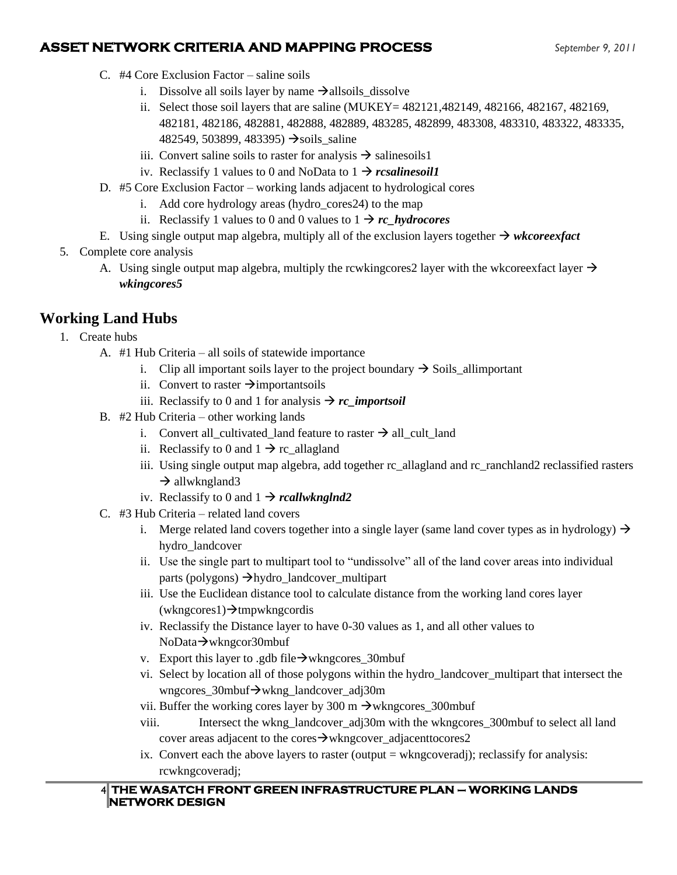#### **ASSET NETWORK CRITERIA AND MAPPING PROCESS** *September 9, 2011*

- C. #4 Core Exclusion Factor saline soils
	- i. Dissolve all soils layer by name  $\rightarrow$ allsoils\_dissolve
	- ii. Select those soil layers that are saline (MUKEY= 482121,482149, 482166, 482167, 482169, 482181, 482186, 482881, 482888, 482889, 483285, 482899, 483308, 483310, 483322, 483335, 482549, 503899, 483395)  $\rightarrow$ soils saline
	- iii. Convert saline soils to raster for analysis  $\rightarrow$  salinesoils 1
	- iv. Reclassify 1 values to 0 and NoData to  $1 \rightarrow rcsalinesoill$
- D. #5 Core Exclusion Factor working lands adjacent to hydrological cores
	- i. Add core hydrology areas (hydro\_cores24) to the map
	- ii. Reclassify 1 values to 0 and 0 values to  $1 \rightarrow rc$  *hydrocores*
- E. Using single output map algebra, multiply all of the exclusion layers together  $\rightarrow$  *wkcoreexfact*
- 5. Complete core analysis
	- A. Using single output map algebra, multiply the rcwkingcores 2 layer with the wkcoreexfact layer  $\rightarrow$ *wkingcores5*

## **Working Land Hubs**

- 1. Create hubs
	- A. #1 Hub Criteria all soils of statewide importance
		- i. Clip all important soils layer to the project boundary  $\rightarrow$  Soils\_allimportant
		- ii. Convert to raster  $\rightarrow$ importantsoils
		- iii. Reclassify to 0 and 1 for analysis  $\rightarrow$  *rc\_importsoil*
	- B. #2 Hub Criteria other working lands
		- i. Convert all\_cultivated\_land feature to raster  $\rightarrow$  all\_cult\_land
		- ii. Reclassify to 0 and  $1 \rightarrow$  rc\_allagland
		- iii. Using single output map algebra, add together rc\_allagland and rc\_ranchland2 reclassified rasters  $\rightarrow$  allwkngland3
		- iv. Reclassify to 0 and  $1 \rightarrow$  *rcallwknglnd2*
	- C. #3 Hub Criteria related land covers
		- i. Merge related land covers together into a single layer (same land cover types as in hydrology)  $\rightarrow$ hydro\_landcover
		- ii. Use the single part to multipart tool to "undissolve" all of the land cover areas into individual parts (polygons) →hydro\_landcover\_multipart
		- iii. Use the Euclidean distance tool to calculate distance from the working land cores layer (wkngcores1)→tmpwkngcordis
		- iv. Reclassify the Distance layer to have 0-30 values as 1, and all other values to NoData→wkngcor30mbuf
		- v. Export this layer to .gdb file $\rightarrow$ wkngcores 30mbuf
		- vi. Select by location all of those polygons within the hydro\_landcover\_multipart that intersect the wngcores\_30mbuf→wkng\_landcover\_adj30m
		- vii. Buffer the working cores layer by 300 m  $\rightarrow$ wkngcores 300mbuf
		- viii. Intersect the wkng\_landcover\_adj30m with the wkngcores\_300mbuf to select all land cover areas adjacent to the cores→wkngcover\_adjacenttocores2
		- ix. Convert each the above layers to raster (output  $=$  wkngcoveradj); reclassify for analysis: rcwkngcoveradj;

#### 4 **THE WASATCH FRONT GREEN INFRASTRUCTURE PLAN – WORKING LANDS NETWORK DESIGN**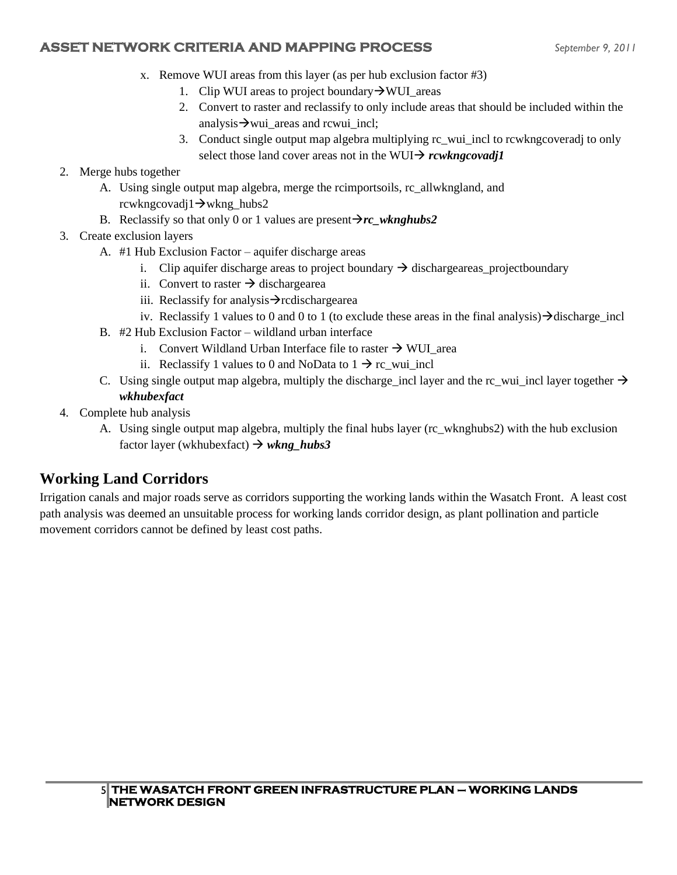#### **ASSET NETWORK CRITERIA AND MAPPING PROCESS** *September 9, 2011*

- x. Remove WUI areas from this layer (as per hub exclusion factor #3)
	- 1. Clip WUI areas to project boundary→WUI\_areas
	- 2. Convert to raster and reclassify to only include areas that should be included within the analysis  $\rightarrow$  wui areas and rcwui incl;
	- 3. Conduct single output map algebra multiplying rc\_wui\_incl to rcwkngcoveradj to only select those land cover areas not in the WUI→ *rcwkngcovadj1*
- 2. Merge hubs together
	- A. Using single output map algebra, merge the rcimportsoils, rc\_allwkngland, and rcwkngcovadj1→wkng\_hubs2
	- B. Reclassify so that only 0 or 1 values are present $\rightarrow$ *rc* wknghubs2
- 3. Create exclusion layers
	- A. #1 Hub Exclusion Factor aquifer discharge areas
		- i. Clip aquifer discharge areas to project boundary  $\rightarrow$  dischargeareas\_projectboundary
		- ii. Convert to raster  $\rightarrow$  dischargearea
		- iii. Reclassify for analysis→rcdischargearea
		- iv. Reclassify 1 values to 0 and 0 to 1 (to exclude these areas in the final analysis)→discharge\_incl
	- B. #2 Hub Exclusion Factor wildland urban interface
		- i. Convert Wildland Urban Interface file to raster  $\rightarrow$  WUI area
		- ii. Reclassify 1 values to 0 and NoData to  $1 \rightarrow r c$  wui incl
	- C. Using single output map algebra, multiply the discharge\_incl layer and the rc\_wui\_incl layer together  $\rightarrow$ *wkhubexfact*
- 4. Complete hub analysis
	- A. Using single output map algebra, multiply the final hubs layer (rc\_wknghubs2) with the hub exclusion factor layer (wkhubexfact) → *wkng\_hubs3*

# **Working Land Corridors**

Irrigation canals and major roads serve as corridors supporting the working lands within the Wasatch Front. A least cost path analysis was deemed an unsuitable process for working lands corridor design, as plant pollination and particle movement corridors cannot be defined by least cost paths.